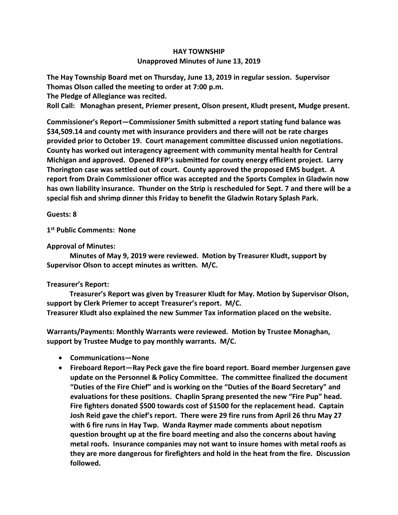## **HAY TOWNSHIP Unapproved Minutes of June 13, 2019**

**The Hay Township Board met on Thursday, June 13, 2019 in regular session. Supervisor Thomas Olson called the meeting to order at 7:00 p.m.** 

**The Pledge of Allegiance was recited.** 

**Roll Call: Monaghan present, Priemer present, Olson present, Kludt present, Mudge present.**

**Commissioner's Report—Commissioner Smith submitted a report stating fund balance was \$34,509.14 and county met with insurance providers and there will not be rate charges provided prior to October 19. Court management committee discussed union negotiations. County has worked out interagency agreement with community mental health for Central Michigan and approved. Opened RFP's submitted for county energy efficient project. Larry Thorington case was settled out of court. County approved the proposed EMS budget. A report from Drain Commissioner office was accepted and the Sports Complex in Gladwin now has own liability insurance. Thunder on the Strip is rescheduled for Sept. 7 and there will be a special fish and shrimp dinner this Friday to benefit the Gladwin Rotary Splash Park.**

**Guests: 8**

**1 st Public Comments: None**

**Approval of Minutes:**

 **Minutes of May 9, 2019 were reviewed. Motion by Treasurer Kludt, support by Supervisor Olson to accept minutes as written. M/C.**

## **Treasurer's Report:**

 **Treasurer's Report was given by Treasurer Kludt for May. Motion by Supervisor Olson, support by Clerk Priemer to accept Treasurer's report. M/C. Treasurer Kludt also explained the new Summer Tax information placed on the website.**

**Warrants/Payments: Monthly Warrants were reviewed. Motion by Trustee Monaghan, support by Trustee Mudge to pay monthly warrants. M/C.**

- **Communications—None**
- **Fireboard Report—Ray Peck gave the fire board report. Board member Jurgensen gave update on the Personnel & Policy Committee. The committee finalized the document "Duties of the Fire Chief" and is working on the "Duties of the Board Secretary" and evaluations for these positions. Chaplin Sprang presented the new "Fire Pup" head. Fire fighters donated \$500 towards cost of \$1500 for the replacement head. Captain Josh Reid gave the chief's report. There were 29 fire runs from April 26 thru May 27 with 6 fire runs in Hay Twp. Wanda Raymer made comments about nepotism question brought up at the fire board meeting and also the concerns about having metal roofs. Insurance companies may not want to insure homes with metal roofs as they are more dangerous for firefighters and hold in the heat from the fire. Discussion followed.**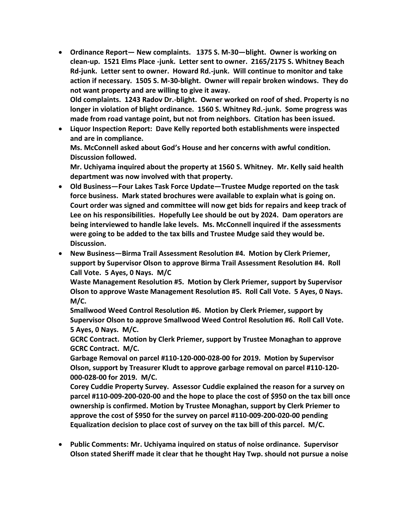- **Ordinance Report— New complaints. 1375 S. M-30—blight. Owner is working on clean-up. 1521 Elms Place -junk. Letter sent to owner. 2165/2175 S. Whitney Beach Rd-junk. Letter sent to owner. Howard Rd.-junk. Will continue to monitor and take action if necessary. 1505 S. M-30-blight. Owner will repair broken windows. They do not want property and are willing to give it away. Old complaints. 1243 Radov Dr.-blight. Owner worked on roof of shed. Property is no longer in violation of blight ordinance. 1560 S. Whitney Rd.-junk. Some progress was**
- **made from road vantage point, but not from neighbors. Citation has been issued.** • **Liquor Inspection Report: Dave Kelly reported both establishments were inspected and are in compliance. Ms. McConnell asked about God's House and her concerns with awful condition. Discussion followed.**

**Mr. Uchiyama inquired about the property at 1560 S. Whitney. Mr. Kelly said health department was now involved with that property.**

- **Old Business—Four Lakes Task Force Update—Trustee Mudge reported on the task force business. Mark stated brochures were available to explain what is going on. Court order was signed and committee will now get bids for repairs and keep track of Lee on his responsibilities. Hopefully Lee should be out by 2024. Dam operators are being interviewed to handle lake levels. Ms. McConnell inquired if the assessments were going to be added to the tax bills and Trustee Mudge said they would be. Discussion.**
- **New Business—Birma Trail Assessment Resolution #4. Motion by Clerk Priemer, support by Supervisor Olson to approve Birma Trail Assessment Resolution #4. Roll Call Vote. 5 Ayes, 0 Nays. M/C**

**Waste Management Resolution #5. Motion by Clerk Priemer, support by Supervisor Olson to approve Waste Management Resolution #5. Roll Call Vote. 5 Ayes, 0 Nays. M/C.**

**Smallwood Weed Control Resolution #6. Motion by Clerk Priemer, support by Supervisor Olson to approve Smallwood Weed Control Resolution #6. Roll Call Vote. 5 Ayes, 0 Nays. M/C.**

**GCRC Contract. Motion by Clerk Priemer, support by Trustee Monaghan to approve GCRC Contract. M/C.**

**Garbage Removal on parcel #110-120-000-028-00 for 2019. Motion by Supervisor Olson, support by Treasurer Kludt to approve garbage removal on parcel #110-120- 000-028-00 for 2019. M/C.**

**Corey Cuddie Property Survey. Assessor Cuddie explained the reason for a survey on parcel #110-009-200-020-00 and the hope to place the cost of \$950 on the tax bill once ownership is confirmed. Motion by Trustee Monaghan, support by Clerk Priemer to approve the cost of \$950 for the survey on parcel #110-009-200-020-00 pending Equalization decision to place cost of survey on the tax bill of this parcel. M/C.**

• **Public Comments: Mr. Uchiyama inquired on status of noise ordinance. Supervisor Olson stated Sheriff made it clear that he thought Hay Twp. should not pursue a noise**